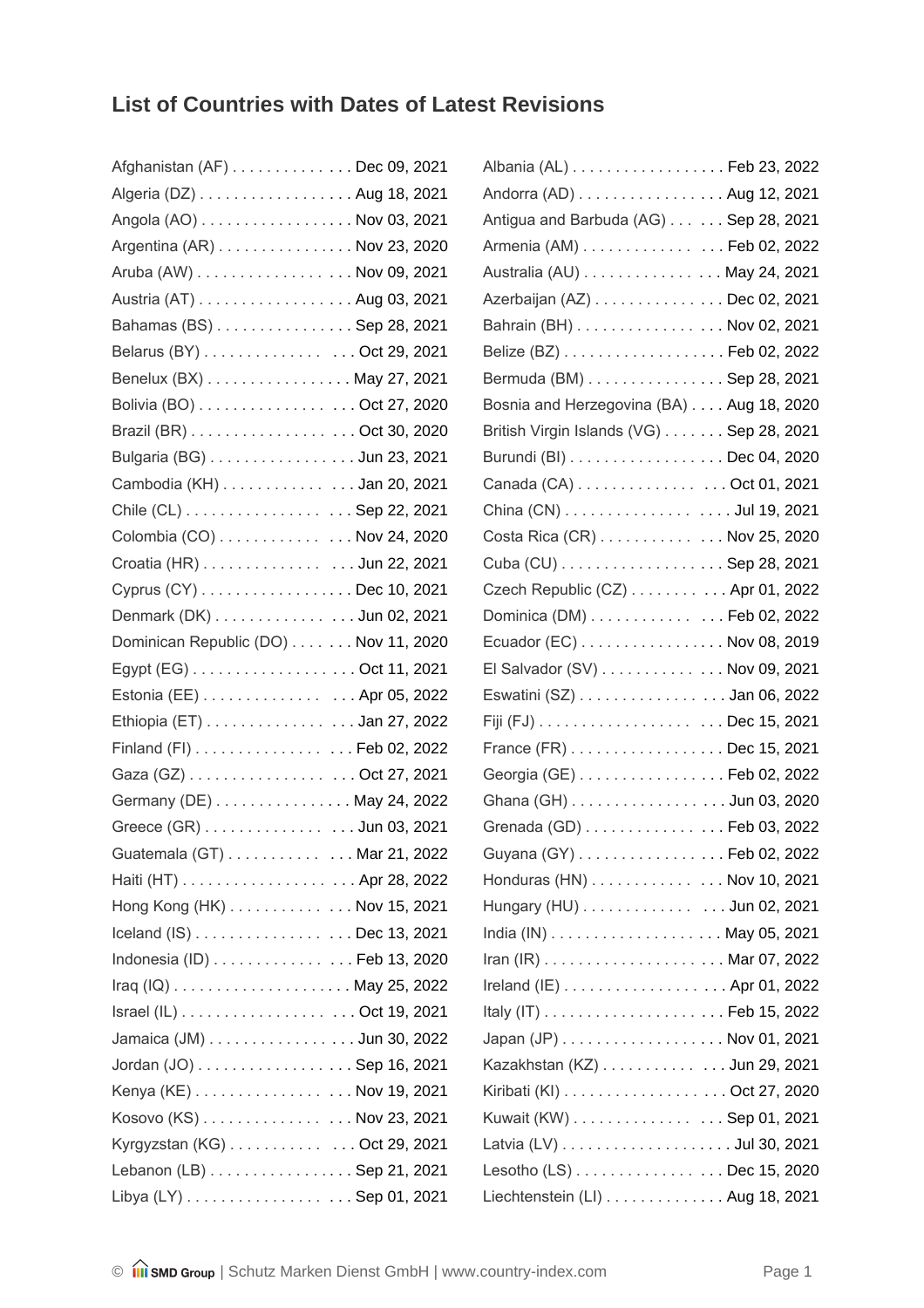## **List of Countries with Dates of Latest Revisions**

| Afghanistan (AF) Dec 09, 2021        |  |
|--------------------------------------|--|
| Algeria (DZ) Aug 18, 2021            |  |
| Angola (AO) Nov 03, 2021             |  |
| Argentina (AR) Nov 23, 2020          |  |
| Aruba (AW) Nov 09, 2021              |  |
| Austria (AT) Aug 03, 2021            |  |
| Bahamas (BS) Sep 28, 2021            |  |
| Belarus (BY) Oct 29, 2021            |  |
| Benelux (BX) May 27, 2021            |  |
| Bolivia (BO) Oct 27, 2020            |  |
| Brazil (BR) Oct 30, 2020             |  |
| Bulgaria (BG) Jun 23, 2021           |  |
| Cambodia (KH) Jan 20, 2021           |  |
| Chile (CL) Sep 22, 2021              |  |
| Colombia (CO) Nov 24, 2020           |  |
| Croatia (HR) Jun 22, 2021            |  |
| Cyprus (CY) Dec 10, 2021             |  |
| Denmark (DK) Jun 02, 2021            |  |
| Dominican Republic (DO) Nov 11, 2020 |  |
| Egypt (EG) Oct 11, 2021              |  |
| Estonia (EE) Apr 05, 2022            |  |
| Ethiopia (ET) Jan 27, 2022           |  |
| Finland (FI) Feb 02, 2022            |  |
| Gaza (GZ) Oct 27, 2021               |  |
| Germany (DE) May 24, 2022            |  |
| Greece (GR) Jun 03, 2021             |  |
| Guatemala (GT) Mar 21, 2022          |  |
|                                      |  |
| Hong Kong (HK) Nov 15, 2021          |  |
| Iceland (IS) Dec 13, 2021            |  |
| Indonesia (ID) Feb 13, 2020          |  |
|                                      |  |
|                                      |  |
| Jamaica (JM) Jun 30, 2022            |  |
| Jordan (JO) Sep 16, 2021             |  |
| Kenya (KE) Nov 19, 2021              |  |
| Kosovo (KS) Nov 23, 2021             |  |
| Kyrgyzstan (KG) Oct 29, 2021         |  |
| Lebanon (LB) Sep 21, 2021            |  |
| Libya (LY) Sep 01, 2021              |  |

| Albania (AL) Feb 23, 2022                |  |
|------------------------------------------|--|
| Andorra (AD) Aug 12, 2021                |  |
| Antigua and Barbuda (AG) Sep 28, 2021    |  |
| Armenia (AM) Feb 02, 2022                |  |
| Australia (AU) May 24, 2021              |  |
| Azerbaijan (AZ) Dec 02, 2021             |  |
| Bahrain (BH) Nov 02, 2021                |  |
|                                          |  |
| Bermuda (BM) Sep 28, 2021                |  |
| Bosnia and Herzegovina (BA) Aug 18, 2020 |  |
| British Virgin Islands (VG) Sep 28, 2021 |  |
| Burundi (BI) Dec 04, 2020                |  |
| Canada (CA) Oct 01, 2021                 |  |
| China (CN) Jul 19, 2021                  |  |
| Costa Rica (CR) Nov 25, 2020             |  |
| Cuba (CU) Sep 28, 2021                   |  |
| Czech Republic (CZ) Apr 01, 2022         |  |
| Dominica (DM) Feb 02, 2022               |  |
| Ecuador (EC) Nov 08, 2019                |  |
| El Salvador (SV) Nov 09, 2021            |  |
| Eswatini (SZ) Jan 06, 2022               |  |
|                                          |  |
| France (FR) Dec 15, 2021                 |  |
| Georgia (GE) Feb 02, 2022                |  |
| Ghana (GH) Jun 03, 2020                  |  |
| Grenada (GD) Feb 03, 2022                |  |
| Guyana (GY) Feb 02, 2022                 |  |
| Honduras (HN) Nov 10, 2021               |  |
| Hungary (HU) Jun 02, 2021                |  |
|                                          |  |
|                                          |  |
| Ireland (IE) Apr 01, 2022                |  |
|                                          |  |
| Japan (JP) Nov 01, 2021                  |  |
| Kazakhstan (KZ) Jun 29, 2021             |  |
| Kiribati (KI) Oct 27, 2020               |  |
| Kuwait (KW) Sep 01, 2021                 |  |
|                                          |  |
| Lesotho (LS) Dec 15, 2020                |  |
| Liechtenstein (LI) Aug 18, 2021          |  |